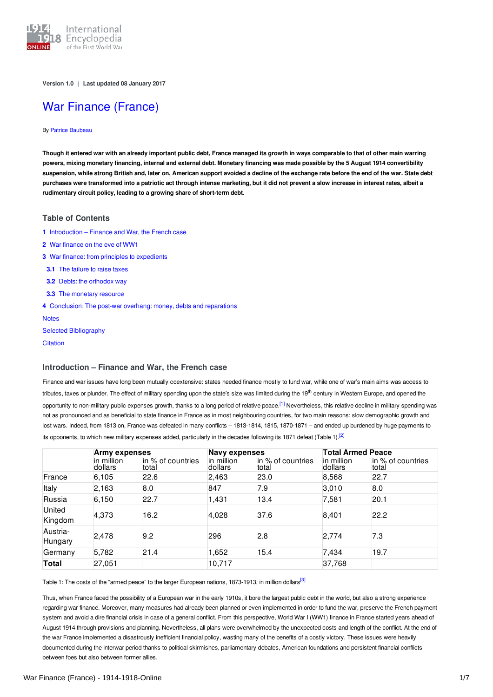

**Version 1.0** | **Last updated 08 January 2017**

# War Finance [\(France\)](http://encyclopedia.1914-1918-online.net/article/war_finance_france)

#### By Patrice [Baubeau](http://encyclopedia.1914-1918-online.net/contributors/Patrice_Baubeau)

Though it entered war with an already important public debt, France managed its growth in ways comparable to that of other main warring powers, mixing monetary financing, internal and external debt. Monetary financing was made possible by the 5 August 1914 convertibility suspension, while strong British and, later on, American support avoided a decline of the exchange rate before the end of the war. State debt purchases were transformed into a patriotic act through intense marketing, but it did not prevent a slow increase in interest rates, albeit a **rudimentary circuit policy, leading to a growing share of short-term debt.**

## **Table of Contents**

- **1** [Introduction](#page-0-0) Finance and War, the French case
- **2** War [finance](#page-1-0) on the eve of WW1
- **3** War finance: from principles to [expedients](#page-2-0)
- **3.1** The [failure](#page-2-1) to raise taxes
- **3.2** Debts: the [orthodox](#page-2-2) way
- **3.3** The [monetary](#page-4-0) resource
- **4** [Conclusion:](#page-4-1) The post-war overhang: money, debts and reparations

**[Notes](#page-5-0)** Selected [Bibliography](#page-6-0)

**[Citation](#page-6-1)** 

# <span id="page-0-0"></span>**Introduction – Finance and War, the French case**

<span id="page-0-1"></span>Finance and war issues have long been mutually coextensive: states needed finance mostly to fund war, while one of war's main aims was access to tributes, taxes or plunder. The effect of military spending upon the state's size was limited during the 19<sup>th</sup> century in Western Europe, and opened the opportunity to non-military public expenses growth, thanks to a long period of relative peace.<sup>[\[1\]](#page-5-1)</sup> Nevertheless, this relative decline in military spending was not as pronounced and as beneficial to state finance in France as in most neighbouring countries, for two main reasons: slow demographic growth and lost wars. Indeed, from 1813 on, France was defeated in many conflicts – 1813-1814, 1815, 1870-1871 – and ended up burdened by huge payments to its opponents, to which new military expenses added, particularly in the decades following its 1871 defeat (Table 1).<sup>[\[2\]](#page-5-2)</sup>

<span id="page-0-2"></span>

|                     | Army expenses         |                            | <b>Navy expenses</b>  |                            | <b>Total Armed Peace</b> |                            |  |
|---------------------|-----------------------|----------------------------|-----------------------|----------------------------|--------------------------|----------------------------|--|
|                     | in million<br>dollars | in % of countries<br>total | in million<br>dollars | in % of countries<br>total | in million<br>dollars    | in % of countries<br>total |  |
| France              | 6,105                 | 22.6                       | 2,463                 | 23.0                       | 8,568                    | 22.7                       |  |
| Italy               | 2,163                 | 8.0                        | 847                   | 7.9                        | 3,010                    | 8.0                        |  |
| Russia              | 6,150                 | 22.7                       | 1,431                 | 13.4                       | 7,581                    | 20.1                       |  |
| United<br>Kingdom   | 4,373                 | 16.2                       | 4,028                 | 37.6                       | 8,401                    | 22.2                       |  |
| Austria-<br>Hungary | 2,478                 | 9.2                        | 296                   | 2.8                        | 2,774                    | 7.3                        |  |
| Germany             | 5,782                 | 21.4                       | 1,652                 | 15.4                       | 7,434                    | 19.7                       |  |
| Total               | 27,051                |                            | 10,717                |                            | 37,768                   |                            |  |

<span id="page-0-3"></span>Table 1: The costs of the "armed peace" to the larger European nations, 1873-1913, in million dollars<sup>[\[3\]](#page-5-3)</sup>

Thus, when France faced the possibility of a European war in the early 1910s, it bore the largest public debt in the world, but also a strong experience regarding war finance. Moreover, many measures had already been planned or even implemented in order to fund the war, preserve the French payment system and avoid a dire financial crisis in case of a general conflict. From this perspective, World War I (WW1) finance in France started years ahead of August 1914 through provisions and planning. Nevertheless, all plans were overwhelmed by the unexpected costs and length of the conflict. At the end of the war France implemented a disastrously inefficient financial policy, wasting many of the benefits of a costly victory. These issues were heavily documented during the interwar period thanks to political skirmishes, parliamentary debates, American foundations and persistent financial conflicts between foes but also between former allies.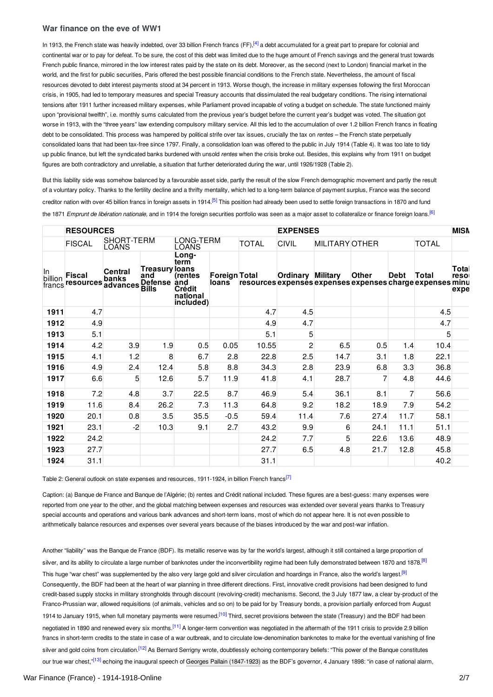## <span id="page-1-1"></span><span id="page-1-0"></span>**War finance on the eve of WW1**

In 1913, the French state was heavily indebted, over 33 billion French francs (FF),<sup>[\[4\]](#page-5-4)</sup> a debt accumulated for a great part to prepare for colonial and continental war or to pay for defeat. To be sure, the cost of this debt was limited due to the huge amount of French savings and the general trust towards French public finance, mirrored in the low interest rates paid by the state on its debt. Moreover, as the second (next to London) financial market in the world, and the first for public securities, Paris offered the best possible financial conditions to the French state. Nevertheless, the amount of fiscal resources devoted to debt interest payments stood at 34 percent in 1913. Worse though, the increase in military expenses following the first Moroccan crisis, in 1905, had led to temporary measures and special Treasury accounts that dissimulated the real budgetary conditions. The rising international tensions after 1911 further increased military expenses, while Parliament proved incapable of voting a budget on schedule. The state functioned mainly upon "provisional twelfth", i.e. monthly sums calculated from the previous year's budget before the current year's budget was voted. The situation got worse in 1913, with the "three years" law extending compulsory military service. All this led to the accumulation of over 1.2 billion French francs in floating debt to be consolidated. This process was hampered by political strife over tax issues, crucially the tax on *rentes* – the French state perpetually consolidated loans that had been tax-free since 1797. Finally, a consolidation loan was offered to the public in July 1914 (Table 4). It was too late to tidy up public finance, but left the syndicated banks burdened with unsold *rentes* when the crisis broke out. Besides, this explains why from 1911 on budget figures are both contradictory and unreliable, a situation that further deteriorated during the war, until 1926/1928 (Table 2).

<span id="page-1-2"></span>But this liability side was somehow balanced by a favourable asset side, partly the result of the slow French demographic movement and partly the result of a voluntary policy. Thanks to the fertility decline and a thrifty mentality, which led to a long-term balance of payment surplus, France was the second creditor nation with over 45 billion francs in foreign assets in 1914.<sup>[\[5\]](#page-5-5)</sup> This position had already been used to settle foreign transactions in 1870 and fund the 1871 *Emprunt de libération nationale,* and in 1914 the foreign securities portfolio was seen as a major asset to collateralize or finance foreign loans. [\[6\]](#page-5-6)

<span id="page-1-3"></span>

|                         | <b>RESOURCES</b>                    |                     |                                                                |                                                                                          |                        |                                                           | <b>EXPENSES</b>          |                       |              |                |              |                       |
|-------------------------|-------------------------------------|---------------------|----------------------------------------------------------------|------------------------------------------------------------------------------------------|------------------------|-----------------------------------------------------------|--------------------------|-----------------------|--------------|----------------|--------------|-----------------------|
|                         | <b>FISCAL</b>                       | SHORT-TERM<br>LOANS |                                                                | LONG-TERM<br>LOANS                                                                       |                        | <b>TOTAL</b>                                              | <b>CIVIL</b>             | <b>MILITARY OTHER</b> |              |                | <b>TOTAL</b> |                       |
| In<br>billion<br>francs | <b>Fiscal</b><br>resources advances | Central<br>banks    | <b>Treasury loans</b><br>and<br><b>Defense</b><br><b>Bills</b> | Long-<br>term<br><i><u><b>Trentes</b></u></i><br>land<br>Crédit<br>national<br>included) | Foreign Total<br>loans | resources expenses expenses expenses charge expenses minu | <b>Ordinary Military</b> |                       | <b>Other</b> | Debt           | Total        | Total<br>reso<br>expe |
| 1911                    | 4.7                                 |                     |                                                                |                                                                                          |                        | 4.7                                                       | 4.5                      |                       |              |                | 4.5          |                       |
| 1912                    | 4.9                                 |                     |                                                                |                                                                                          |                        | 4.9                                                       | 4.7                      |                       |              |                | 4.7          |                       |
| 1913                    | 5.1                                 |                     |                                                                |                                                                                          |                        | 5.1                                                       | 5                        |                       |              |                | 5            |                       |
| 1914                    | 4.2                                 | 3.9                 | 1.9                                                            | 0.5                                                                                      | 0.05                   | 10.55                                                     | $\overline{c}$           | 6.5                   | 0.5          | 1.4            | 10.4         |                       |
| 1915                    | 4.1                                 | 1.2                 | 8                                                              | 6.7                                                                                      | 2.8                    | 22.8                                                      | 2.5                      | 14.7                  | 3.1          | 1.8            | 22.1         |                       |
| 1916                    | 4.9                                 | 2.4                 | 12.4                                                           | 5.8                                                                                      | 8.8                    | 34.3                                                      | 2.8                      | 23.9                  | 6.8          | 3.3            | 36.8         |                       |
| 1917                    | 6.6                                 | 5                   | 12.6                                                           | 5.7                                                                                      | 11.9                   | 41.8                                                      | 4.1                      | 28.7                  | 7            | 4.8            | 44.6         |                       |
| 1918                    | 7.2                                 | 4.8                 | 3.7                                                            | 22.5                                                                                     | 8.7                    | 46.9                                                      | 5.4                      | 36.1                  | 8.1          | $\overline{7}$ | 56.6         |                       |
| 1919                    | 11.6                                | 8.4                 | 26.2                                                           | 7.3                                                                                      | 11.3                   | 64.8                                                      | 9.2                      | 18.2                  | 18.9         | 7.9            | 54.2         |                       |
| 1920                    | 20.1                                | 0.8                 | 3.5                                                            | 35.5                                                                                     | $-0.5$                 | 59.4                                                      | 11.4                     | 7.6                   | 27.4         | 11.7           | 58.1         |                       |
| 1921                    | 23.1                                | $-2$                | 10.3                                                           | 9.1                                                                                      | 2.7                    | 43.2                                                      | 9.9                      | 6                     | 24.1         | 11.1           | 51.1         |                       |
| 1922                    | 24.2                                |                     |                                                                |                                                                                          |                        | 24.2                                                      | 7.7                      | 5                     | 22.6         | 13.6           | 48.9         |                       |
| 1923                    | 27.7                                |                     |                                                                |                                                                                          |                        | 27.7                                                      | 6.5                      | 4.8                   | 21.7         | 12.8           | 45.8         |                       |
| 1924                    | 31.1                                |                     |                                                                |                                                                                          |                        | 31.1                                                      |                          |                       |              |                | 40.2         |                       |

<span id="page-1-4"></span>Table 2: General outlook on state expenses and resources, 1911-1924, in billion French francs<sup>[\[7\]](#page-5-7)</sup>

Caption: (a) Banque de France and Banque de l'Algérie; (b) rentes and Crédit national included. These figures are a best-guess: many expenses were reported from one year to the other, and the global matching between expenses and resources was extended over several years thanks to Treasury special accounts and operations and various bank advances and short-term loans, most of which do not appear here. It is not even possible to arithmetically balance resources and expenses over several years because of the biases introduced by the war and post-war inflation.

<span id="page-1-10"></span><span id="page-1-9"></span><span id="page-1-8"></span><span id="page-1-7"></span><span id="page-1-6"></span><span id="page-1-5"></span>Another "liability" was the Banque de France (BDF). Its metallic reserve was by far the world's largest, although it still contained a large proportion of silver, and its ability to circulate a large number of banknotes under the inconvertibility regime had been fully demonstrated between 1870 and 1878.<sup>[\[8\]](#page-5-8)</sup> This huge "war chest" was supplemented by the also very large gold and silver circulation and hoardings in France, also the world's largest.<sup>[\[9\]](#page-5-9)</sup> Consequently, the BDF had been at the heart of war planning in three different directions. First, innovative credit provisions had been designed to fund credit-based supply stocks in military strongholds through discount (revolving-credit) mechanisms. Second, the 3 July 1877 law, a clear by-product of the Franco-Prussian war, allowed requisitions (of animals, vehicles and so on) to be paid for by Treasury bonds, a provision partially enforced from August 1914 to January 1915, when full monetary payments were resumed.<sup>[\[10\]](#page-5-10)</sup> Third, secret provisions between the state (Treasury) and the BDF had been negotiated in 1890 and renewed every six months.<sup>[\[11\]](#page-5-11)</sup> A longer-term convention was negotiated in the aftermath of the 1911 crisis to provide 2.9 billion francs in short-term credits to the state in case of a war outbreak, and to circulate low-denomination banknotes to make for the eventual vanishing of fine silver and gold coins from circulation.<sup>[\[12\]](#page-5-12)</sup> As Bernard Serrigny wrote, doubtlessly echoing contemporary beliefs: "This power of the Banque constitutes our true war chest,"<sup>[\[13\]](#page-5-13)</sup> echoing the inaugural speech of Georges Pallain [\(1847-1923\)](http://encyclopedia.1914-1918-online.net/index/names/172300231) as the BDF's governor, 4 January 1898: "in case of national alarm,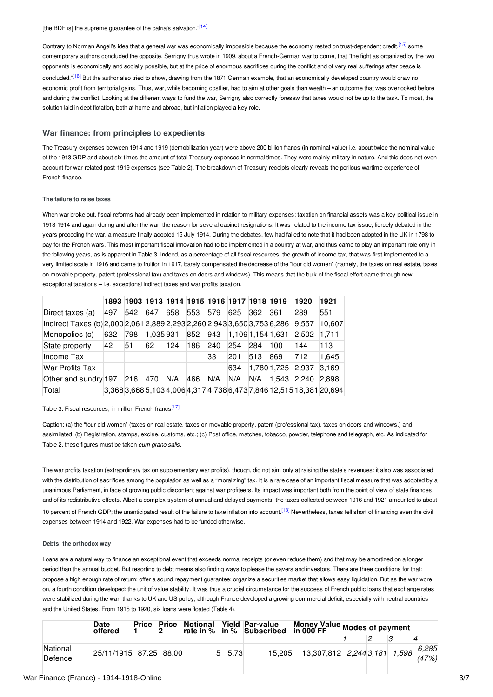<span id="page-2-5"></span><span id="page-2-4"></span><span id="page-2-3"></span>Contrary to Norman Angell's idea that a general war was economically impossible because the economy rested on trust-dependent credit,<sup>[\[15\]](#page-5-15)</sup> some contemporary authors concluded the opposite. Serrigny thus wrote in 1909, about a French-German war to come, that "the fight as organized by the two opponents is economically and socially possible, but at the price of enormous sacrifices during the conflict and of very real sufferings after peace is concluded."<sup>[\[16\]](#page-5-16)</sup> But the author also tried to show, drawing from the 1871 German example, that an economically developed country would draw no economic profit from territorial gains. Thus, war, while becoming costlier, had to aim at other goals than wealth – an outcome that was overlooked before and during the conflict. Looking at the different ways to fund the war, Serrigny also correctly foresaw that taxes would not be up to the task. To most, the solution laid in debt flotation, both at home and abroad, but inflation played a key role.

## <span id="page-2-0"></span>**War finance: from principles to expedients**

The Treasury expenses between 1914 and 1919 (demobilization year) were above 200 billion francs (in nominal value) i.e. about twice the nominal value of the 1913 GDP and about six times the amount of total Treasury expenses in normal times. They were mainly military in nature. And this does not even account for war-related post-1919 expenses (see Table 2). The breakdown of Treasury receipts clearly reveals the perilous wartime experience of French finance.

#### <span id="page-2-1"></span>**The failure to raise taxes**

When war broke out, fiscal reforms had already been implemented in relation to military expenses: taxation on financial assets was a key political issue in 1913-1914 and again during and after the war, the reason for several cabinet resignations. It was related to the income tax issue, fiercely debated in the years preceding the war, a measure finally adopted 15 July 1914. During the debates, few had failed to note that it had been adopted in the UK in 1798 to pay for the French wars. This most important fiscal innovation had to be implemented in a country at war, and thus came to play an important role only in the following years, as is apparent in Table 3. Indeed, as a percentage of all fiscal resources, the growth of income tax, that was first implemented to a very limited scale in 1916 and came to fruition in 1917, barely compensated the decrease of the "four old women" (namely, the taxes on real estate, taxes on movable property, patent (professional tax) and taxes on doors and windows). This means that the bulk of the fiscal effort came through new exceptional taxations – i.e. exceptional indirect taxes and war profits taxation.

|                                                                          |     |     |          |     |     | 1893  1903  1913  1914  1915  1916  1917  1918  1919 |     |     |                     | 1920  | 1921                                                                 |
|--------------------------------------------------------------------------|-----|-----|----------|-----|-----|------------------------------------------------------|-----|-----|---------------------|-------|----------------------------------------------------------------------|
| Direct taxes (a)                                                         | 497 | 542 | 647      | 658 | 553 | 579                                                  | 625 | 362 | 361                 | 289   | 551                                                                  |
| Indirect Taxes (b) 2,000 2,061 2,889 2,293 2,260 2,943 3,650 3,753 6,286 |     |     |          |     |     |                                                      |     |     |                     | 9,557 | 10,607                                                               |
| Monopolies (c)                                                           | 632 | 798 | 1,035931 |     | 852 | 943                                                  |     |     | $1,109$ 1,154 1,631 | 2.502 | 1.711                                                                |
| State property                                                           | 42  | 51  | 62       | 124 | 186 | 240                                                  | 254 | 284 | 100                 | 144   | 113                                                                  |
| Income Tax                                                               |     |     |          |     |     | 33                                                   | 201 | 513 | 869                 | 712   | 1.645                                                                |
| <b>War Profits Tax</b>                                                   |     |     |          |     |     |                                                      | 634 |     | 1,780 1,725 2,937   |       | 3.169                                                                |
| Other and sundry 197                                                     |     | 216 | 470      | N/A | 466 | N/A                                                  | N/A | N/A | 1.543               | 2.240 | 2.898                                                                |
| Total                                                                    |     |     |          |     |     |                                                      |     |     |                     |       | 3,368 3,668 5,103 4,006 4,317 4,738 6,473 7,846 12,515 18,381 20,694 |

#### <span id="page-2-6"></span>Table 3: Fiscal resources, in million French francs<sup>[\[17\]](#page-5-17)</sup>

Caption: (a) the "four old women" (taxes on real estate, taxes on movable property, patent (professional tax), taxes on doors and windows,) and assimilated; (b) Registration, stamps, excise, customs, etc.; (c) Post office, matches, tobacco, powder, telephone and telegraph, etc. As indicated for Table 2, these figures must be taken *cum grano salis*.

The war profits taxation (extraordinary tax on supplementary war profits), though, did not aim only at raising the state's revenues: it also was associated with the distribution of sacrifices among the population as well as a "moralizing" tax. It is a rare case of an important fiscal measure that was adopted by a unanimous Parliament, in face of growing public discontent against war profiteers. Its impact was important both from the point of view of state finances and of its redistributive effects. Albeit a complex system of annual and delayed payments, the taxes collected between 1916 and 1921 amounted to about 10 percent of French GDP; the unanticipated result of the failure to take inflation into account.<sup>[\[18\]](#page-5-18)</sup> Nevertheless, taxes fell short of financing even the civil expenses between 1914 and 1922. War expenses had to be funded otherwise.

#### <span id="page-2-7"></span><span id="page-2-2"></span>**Debts: the orthodox way**

Loans are a natural way to finance an exceptional event that exceeds normal receipts (or even reduce them) and that may be amortized on a longer period than the annual budget. But resorting to debt means also finding ways to please the savers and investors. There are three conditions for that: propose a high enough rate of return; offer a sound repayment guarantee; organize a securities market that allows easy liquidation. But as the war wore on, a fourth condition developed: the unit of value stability. It was thus a crucial circumstance for the success of French public loans that exchange rates were stabilized during the war, thanks to UK and US policy, although France developed a growing commercial deficit, especially with neutral countries and the United States. From 1915 to 1920, six loans were floated (Table 4).

|                     | Date<br>offered        | Price | Price | Notional |      | Yield Par-value<br>rate in % lin % Subscribed | Money Value Modes of payment<br>in 000 $F$ FF |  |                |
|---------------------|------------------------|-------|-------|----------|------|-----------------------------------------------|-----------------------------------------------|--|----------------|
|                     |                        |       |       |          |      |                                               |                                               |  |                |
| National<br>Defence | 25/11/1915 87.25 88.00 |       |       | 5.       | 5.73 | 15.205                                        | 13,307,812 2,244 3,181 1,598                  |  | 6.285<br>(47%) |
|                     |                        |       |       |          |      |                                               |                                               |  |                |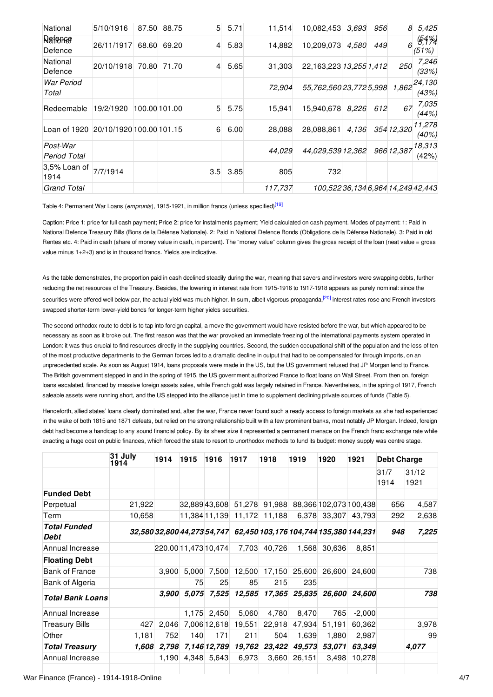| National                              | 5/10/1916  | 87.50 | 88.75         |                | $5 \quad 5.71$ | 11,514  | 10,082,453                     | 3,693 | 956 | 8          | 5,425              |
|---------------------------------------|------------|-------|---------------|----------------|----------------|---------|--------------------------------|-------|-----|------------|--------------------|
| Rafforman<br>Defence                  | 26/11/1917 | 68.60 | 69.20         | $\overline{4}$ | 5.83           | 14,882  | 10,209,073                     | 4,580 | 449 | 6          | $654\%$<br>(51%)   |
| National<br>Defence                   | 20/10/1918 | 70.80 | 71.70         | $\overline{4}$ | 5.65           | 31,303  | 22,163,223 13,255 1,412        |       |     | 250        | 7,246<br>(33%)     |
| <b>War Period</b><br>Total            |            |       |               |                |                | 72,904  | 55,762,560 23,772 5,998        |       |     | 1,862      | [24, 130]<br>(43%) |
| Redeemable                            | 19/2/1920  |       | 100.00 101.00 | 5              | 5.75           | 15.941  | 15,940,678 8,226               |       | 612 | 67         | 7,035<br>(44%)     |
| Loan of 1920 20/10/1920 100.00 101.15 |            |       |               | 6              | 6.00           | 28,088  | 28,088,861                     | 4,136 |     | 354 12,320 | 11,278<br>(40%)    |
| Post-War<br>Period Total              |            |       |               |                |                | 44.029  | 44,029,539 12,362              |       |     | 966 12,387 | 18,313<br>(42%)    |
| 3,5% Loan of<br>1914                  | 7/7/1914   |       |               | 3.5            | 3.85           | 805     | 732                            |       |     |            |                    |
| <b>Grand Total</b>                    |            |       |               |                |                | 117,737 | 100.52236.1346.96414.24942.443 |       |     |            |                    |

<span id="page-3-0"></span>Table 4: Permanent War Loans (*emprunts*), 1915-1921, in million francs (unless specified) [\[19\]](#page-5-19)

Caption: Price 1: price for full cash payment; Price 2: price for instalments payment; Yield calculated on cash payment. Modes of payment: 1: Paid in National Defence Treasury Bills (Bons de la Défense Nationale). 2: Paid in National Defence Bonds (Obligations de la Défense Nationale). 3: Paid in old Rentes etc. 4: Paid in cash (share of money value in cash, in percent). The "money value" column gives the gross receipt of the loan (neat value = gross value minus 1+2+3) and is in thousand francs. Yields are indicative.

<span id="page-3-1"></span>As the table demonstrates, the proportion paid in cash declined steadily during the war, meaning that savers and investors were swapping debts, further reducing the net resources of the Treasury. Besides, the lowering in interest rate from 1915-1916 to 1917-1918 appears as purely nominal: since the securities were offered well below par, the actual yield was much higher. In sum, albeit vigorous propaganda,<sup>[\[20\]](#page-5-20)</sup> interest rates rose and French investors swapped shorter-term lower-yield bonds for longer-term higher yields securities.

The second orthodox route to debt is to tap into foreign capital, a move the government would have resisted before the war, but which appeared to be necessary as soon as it broke out. The first reason was that the war provoked an immediate freezing of the international payments system operated in London: it was thus crucial to find resources directly in the supplying countries. Second, the sudden occupational shift of the population and the loss of ten of the most productive departments to the German forces led to a dramatic decline in output that had to be compensated for through imports, on an unprecedented scale. As soon as August 1914, loans proposals were made in the US, but the US government refused that JP Morgan lend to France. The British government stepped in and in the spring of 1915, the US government authorized France to float loans on Wall Street. From then on, foreign loans escalated, financed by massive foreign assets sales, while French gold was largely retained in France. Nevertheless, in the spring of 1917, French saleable assets were running short, and the US stepped into the alliance just in time to supplement declining private sources of funds (Table 5).

Henceforth, allied states' loans clearly dominated and, after the war, France never found such a ready access to foreign markets as she had experienced in the wake of both 1815 and 1871 defeats, but relied on the strong relationship built with a few prominent banks, most notably JP Morgan. Indeed, foreign debt had become a handicap to any sound financial policy. By its sheer size it represented a permanent menace on the French franc exchange rate while exacting a huge cost on public finances, which forced the state to resort to unorthodox methods to fund its budget: money supply was centre stage.

|                                    | 31 July<br>1914 | 1914        | 1915  | 1916                 | 1917   | 1918   | 1919          | 1920   | 1921                                                               | <b>Debt Charge</b> |               |
|------------------------------------|-----------------|-------------|-------|----------------------|--------|--------|---------------|--------|--------------------------------------------------------------------|--------------------|---------------|
|                                    |                 |             |       |                      |        |        |               |        |                                                                    | 31/7<br>1914       | 31/12<br>1921 |
| <b>Funded Debt</b>                 |                 |             |       |                      |        |        |               |        |                                                                    |                    |               |
| Perpetual                          | 21,922          |             |       | 32,889 43,608        | 51,278 | 91,988 |               |        | 88,366 102,073 100,438                                             | 656                | 4,587         |
| Term                               | 10,658          |             |       | 11.384 11.139        | 11,172 | 11,188 | 6,378         | 33.307 | 43.793                                                             | 292                | 2,638         |
| <b>Total Funded</b><br><b>Debt</b> |                 |             |       |                      |        |        |               |        | 32,580 32,800 44,273 54,747 62,450 103,176 104,744 135,380 144,231 | 948                | 7,225         |
| Annual Increase                    |                 |             |       | 220.00 11,473 10,474 | 7,703  | 40,726 | 1,568         | 30,636 | 8,851                                                              |                    |               |
| <b>Floating Debt</b>               |                 |             |       |                      |        |        |               |        |                                                                    |                    |               |
| <b>Bank of France</b>              |                 | 3.900       | 5,000 | 7,500                | 12,500 | 17,150 | 25,600        | 26,600 | 24,600                                                             |                    | 738           |
| <b>Bank of Algeria</b>             |                 |             | 75    | 25                   | 85     | 215    | 235           |        |                                                                    |                    |               |
| <b>Total Bank Loans</b>            |                 | 3.900       | 5.075 | 7,525                | 12,585 |        | 17,365 25,835 |        | 26,600 24,600                                                      |                    | 738           |
| Annual Increase                    |                 |             | 1.175 | 2,450                | 5,060  | 4,780  | 8,470         | 765    | $-2,000$                                                           |                    |               |
| <b>Treasury Bills</b>              | 427             | 2,046       |       | 7,006 12,618         | 19,551 | 22,918 | 47,934        | 51,191 | 60,362                                                             |                    | 3,978         |
| Other                              | 1,181           | 752         | 140   | 171                  | 211    | 504    | 1,639         | 1,880  | 2,987                                                              |                    | 99            |
| <b>Total Treasury</b>              |                 | 1,608 2,798 |       | 7,146 12,789         | 19,762 | 23,422 | 49,573        | 53,071 | 63.349                                                             |                    | 4,077         |
| Annual Increase                    |                 | 1,190       | 4,348 | 5,643                | 6,973  | 3,660  | 26,151        | 3,498  | 10,278                                                             |                    |               |
|                                    |                 |             |       |                      |        |        |               |        |                                                                    |                    |               |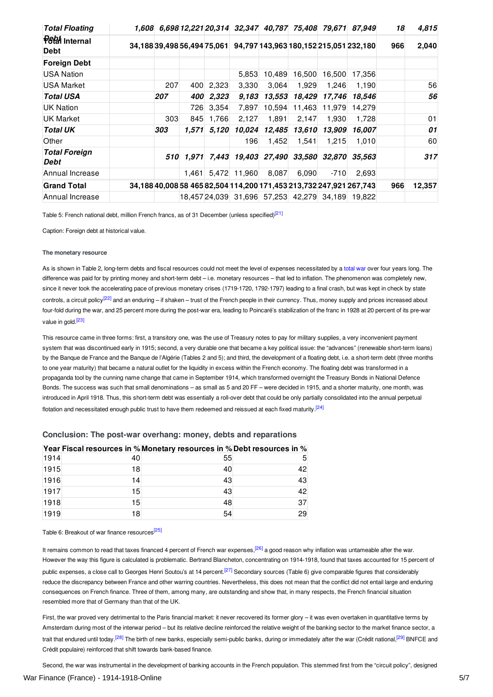| <b>Total Floating</b>                  |     |       |           |              |        |        |        | 1,608 6,698 12,221 20,314 32,347 40,787 75,408 79,671 87,949        | 18  | 4,815  |
|----------------------------------------|-----|-------|-----------|--------------|--------|--------|--------|---------------------------------------------------------------------|-----|--------|
| <b>P&amp;M</b> Internal<br><b>Debt</b> |     |       |           |              |        |        |        | 34,18839,49856,49475,061 94,797 143,963 180,152 215,051 232,180     | 966 | 2,040  |
| <b>Foreign Debt</b>                    |     |       |           |              |        |        |        |                                                                     |     |        |
| USA Nation                             |     |       |           | 5,853        | 10,489 | 16,500 | 16,500 | 17,356                                                              |     |        |
| USA Market                             | 207 |       | 400 2,323 | 3,330        | 3,064  | 1,929  | 1,246  | 1,190                                                               |     | 56     |
| <b>Total USA</b>                       | 207 | 400   | 2,323     | 9,183        | 13,553 | 18,429 | 17,746 | 18,546                                                              |     | 56     |
| UK Nation                              |     | 726   | 3,354     | 7,897        | 10,594 | 11,463 | 11,979 | 14,279                                                              |     |        |
| UK Market                              | 303 | 845   | 1,766     | 2,127        | 1,891  | 2,147  | 1,930  | 1,728                                                               |     | 01     |
| <b>Total UK</b>                        | 303 | 1.571 | 5.120     | 10,024       | 12,485 | 13,610 | 13.909 | 16,007                                                              |     | 01     |
| Other                                  |     |       |           | 196          | 1,452  | 1,541  | 1,215  | 1,010                                                               |     | 60     |
| <b>Total Foreign</b><br>Debt           | 510 |       |           |              |        |        |        | 1,971 7,443 19,403 27,490 33,580 32,870 35,563                      |     | 317    |
| Annual Increase                        |     | 1.461 |           | 5,472 11,960 | 8,087  | 6,090  | $-710$ | 2,693                                                               |     |        |
| <b>Grand Total</b>                     |     |       |           |              |        |        |        | 34,188 40,008 58 465 82,504 114,200 171,453 213,732 247,921 267,743 | 966 | 12,357 |
| Annual Increase                        |     |       |           |              |        |        |        | 18,457 24,039 31,696 57,253 42,279 34,189 19,822                    |     |        |

<span id="page-4-2"></span>Table 5: French national debt, million French francs, as of 31 December (unless specified)<sup>[\[21\]](#page-5-21)</sup>

Caption: Foreign debt at historical value.

#### <span id="page-4-0"></span>**The monetary resource**

<span id="page-4-3"></span>As is shown in Table 2, long-term debts and fiscal resources could not meet the level of expenses necessitated by a [total](http://encyclopedia.1914-1918-online.net/article/controversy_total_war) war over four years long. The difference was paid for by printing money and short-term debt – i.e. monetary resources – that led to inflation. The phenomenon was completely new, since it never took the accelerating pace of previous monetary crises (1719-1720, 1792-1797) leading to a final crash, but was kept in check by state controls, a circuit policy<sup>[\[22\]](#page-5-22)</sup> and an enduring – if shaken – trust of the French people in their currency. Thus, money supply and prices increased about four-fold during the war, and 25 percent more during the post-war era, leading to Poincaré's stabilization of the franc in 1928 at 20 percent of its pre-war value in gold.<sup>[\[23\]](#page-5-23)</sup>

<span id="page-4-4"></span>This resource came in three forms: first, a transitory one, was the use of Treasury notes to pay for military supplies, a very inconvenient payment system that was discontinued early in 1915; second, a very durable one that became a key political issue: the "advances" (renewable short-term loans) by the Banque de France and the Banque de l'Algérie (Tables 2 and 5); and third, the development of a floating debt, i.e. a short-term debt (three months to one year maturity) that became a natural outlet for the liquidity in excess within the French economy. The floating debt was transformed in a propaganda tool by the cunning name change that came in September 1914, which transformed overnight the Treasury Bonds in National Defence Bonds. The success was such that small denominations – as small as 5 and 20 FF – were decided in 1915, and a shorter maturity, one month, was introduced in April 1918. Thus, this short-term debt was essentially a roll-over debt that could be only partially consolidated into the annual perpetual flotation and necessitated enough public trust to have them redeemed and reissued at each fixed maturity.<sup>[\[24\]](#page-5-24)</sup>

|      |    | Year Fiscal resources in % Monetary resources in % Debt resources in % |    |
|------|----|------------------------------------------------------------------------|----|
| 1914 | 40 | 55                                                                     |    |
| 1915 | 18 | 40                                                                     | 42 |
| 1916 | 14 | 43                                                                     | 43 |
| 1917 | 15 | 43                                                                     | 42 |
| 1918 | 15 | 48                                                                     | 37 |
| 1919 | 18 | 54                                                                     | 29 |

## <span id="page-4-5"></span><span id="page-4-1"></span>**Conclusion: The post-war overhang: money, debts and reparations**

<span id="page-4-6"></span>Table 6: Breakout of war finance resources<sup>[\[25\]](#page-5-25)</sup>

<span id="page-4-8"></span><span id="page-4-7"></span>It remains common to read that taxes financed 4 percent of French war expenses,<sup>[\[26\]](#page-5-26)</sup> a good reason why inflation was untameable after the war. However the way this figure is calculated is problematic. Bertrand Blancheton, concentrating on 1914-1918, found that taxes accounted for 15 percent of public expenses, a close call to Georges Henri Soutou's at 14 percent.<sup>[\[27\]](#page-5-27)</sup> Secondary sources (Table 6) give comparable figures that considerably reduce the discrepancy between France and other warring countries. Nevertheless, this does not mean that the conflict did not entail large and enduring consequences on French finance. Three of them, among many, are outstanding and show that, in many respects, the French financial situation resembled more that of Germany than that of the UK.

<span id="page-4-10"></span><span id="page-4-9"></span>First, the war proved very detrimental to the Paris financial market: it never recovered its former glory – it was even overtaken in quantitative terms by Amsterdam during most of the interwar period – but its relative decline reinforced the relative weight of the banking sector to the market finance sector, a trait that endured until today.<sup>[\[28\]](#page-5-28)</sup> The birth of new banks, especially semi-public banks, during or immediately after the war (Crédit national,<sup>[\[29\]](#page-6-2)</sup> BNFCE and Crédit populaire) reinforced that shift towards bank-based finance.

Second, the war was instrumental in the development of banking accounts in the French population. This stemmed first from the "circuit policy", designed War Finance (France) - 1914-1918-Online 5/7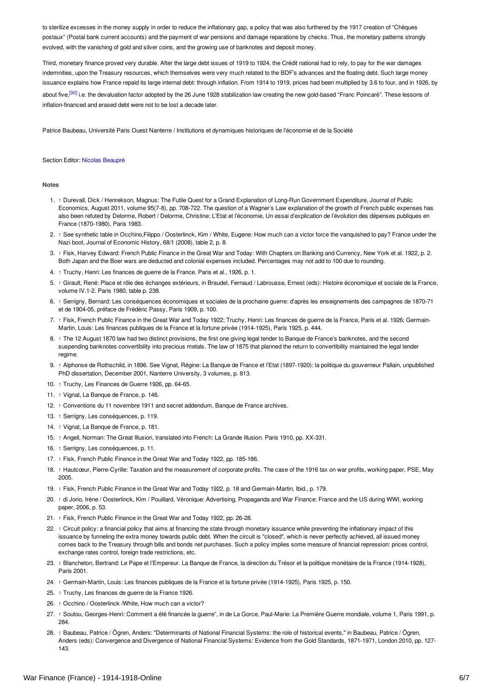to sterilize excesses in the money supply in order to reduce the inflationary gap, a policy that was also furthered by the 1917 creation of "Chèques postaux" (Postal bank current accounts) and the payment of war pensions and damage reparations by checks. Thus, the monetary patterns strongly evolved, with the vanishing of gold and silver coins, and the growing use of banknotes and deposit money.

<span id="page-5-29"></span>Third, monetary finance proved very durable. After the large debt issues of 1919 to 1924, the Crédit national had to rely, to pay for the war damages indemnities, upon the Treasury resources, which themselves were very much related to the BDF's advances and the floating debt. Such large money issuance explains how France repaid its large internal debt: through inflation. From 1914 to 1919, prices had been multiplied by 3.6 to four, and in 1926, by about five,<sup>[\[30\]](#page-6-3)</sup> i.e. the devaluation factor adopted by the 26 June 1928 stabilization law creating the new gold-based "Franc Poincaré". These lessons of inflation-financed and erased debt were not to be lost a decade later.

Patrice Baubeau, Université Paris Ouest Nanterre / Institutions et dynamiques historiques de l'économie et de la Société

#### Section Editor: Nicolas [Beaupré](http://encyclopedia.1914-1918-online.net/contributors/Nicolas_Beaupr�)

#### <span id="page-5-0"></span>**Notes**

- <span id="page-5-1"></span>1. [↑](#page-0-1) Durevall, Dick / Henrekson, Magnus: The Futile Quest for a Grand Explanation of Long-Run Government Expenditure, Journal of Public Economics, August 2011, volume 95(7-8), pp. 708-722. The question of a Wagner's Law explanation of the growth of French public expenses has also been refuted by Delorme, Robert / Delorme, Christine: L'Etat et l'économie, Un essai d'explication de l'évolution des dépenses publiques en France (1870-1980), Paris 1983.
- <span id="page-5-2"></span>2. [↑](#page-0-2) See synthetic table in Occhino,Filippo / Oosterlinck, Kim /White, Eugene: How much can a victor force the vanquished to pay? France under the Nazi boot, Journal of Economic History, 68/1 (2008), table 2, p. 8.
- <span id="page-5-3"></span>3. [↑](#page-0-3) Fisk, Harvey Edward: French Public Finance in the Great War and Today: With Chapters on Banking and Currency, New York et al. 1922, p. 2. Both Japan and the Boer wars are deducted and colonial expenses included. Percentages may not add to 100 due to rounding.
- <span id="page-5-4"></span>4. [↑](#page-1-1) Truchy, Henri: Les finances de guerre de la France. Paris et al., 1926, p. 1.
- <span id="page-5-5"></span>5. [↑](#page-1-2) Girault, René: Place et rôle des échanges extérieurs, in Braudel, Fernaud / Labrousse, Ernest (eds): Histoire économique et sociale de la France, volume IV.1-2. Paris 1980, table p. 238.
- <span id="page-5-6"></span>6. [↑](#page-1-3) Serrigny, Bernard: Les conséquences économiques et sociales de la prochaine guerre: d'après les enseignements des campagnes de 1870-71 et de 1904-05, préface de Frédéric Passy, Paris 1909, p. 100.
- <span id="page-5-7"></span>7. [↑](#page-1-4) Fisk, French Public Finance in the Great War and Today 1922; Truchy, Henri: Les finances de guerre de la France, Paris et al. 1926; Germain-Martin, Louis: Les finances publiques de la France et la fortune privée (1914-1925), Paris 1925, p. 444.
- <span id="page-5-8"></span>8. [↑](#page-1-5) The 12 August 1870 law had two distinct provisions, the first one giving legal tender to Banque de France's banknotes, and the second suspending banknotes convertibility into precious metals. The law of 1875 that planned the return to convertibility maintained the legal tender regime.
- <span id="page-5-9"></span>9. [↑](#page-1-6) Alphonse de Rothschild, in 1896. See Vignat, Régine: La Banque de France et l'Etat (1897-1920): la politique du gouverneur Pallain, unpublished PhD dissertation, December 2001, Nanterre University, 3 volumes, p. 813.
- <span id="page-5-10"></span>10. [↑](#page-1-7) Truchy, Les Finances de Guerre 1926, pp. 64-65.
- <span id="page-5-11"></span>11. [↑](#page-1-8) Vignat, La Banque de France, p. 146.
- <span id="page-5-12"></span>12. [↑](#page-1-9) Conventions du 11 novembre 1911 and secret addendum, Banque de France archives.
- <span id="page-5-13"></span>13. [↑](#page-1-10) Serrigny, Les conséquences, p. 119.
- <span id="page-5-14"></span>14. [↑](#page-2-3) Vignat, La Banque de France, p. 181.
- <span id="page-5-15"></span>15. [↑](#page-2-4) Angell, Norman: The Great Illusion, translated into French: La Grande Illusion. Paris 1910, pp. XX-331.
- <span id="page-5-16"></span>16. [↑](#page-2-5) Serrigny, Les conséquences, p. 11.
- <span id="page-5-17"></span>17. [↑](#page-2-6) Fisk, French Public Finance in the Great War and Today 1922, pp. 185-186.
- <span id="page-5-18"></span>18. [↑](#page-2-7) Hautcœur, Pierre-Cyrille: Taxation and the measurement of corporate profits. The case of the 1916 tax on war profits, working paper, PSE, May 2005.
- <span id="page-5-19"></span>19. [↑](#page-3-0) Fisk, French Public Finance in the Great War and Today 1922, p. 18 and Germain-Martin, Ibid., p. 179.
- <span id="page-5-20"></span>20. [↑](#page-3-1) di Jorio, Irène / Oosterlinck, Kim /Pouillard, Véronique: Advertising, Propaganda and War Finance: France and the US during WWI, working paper, 2006, p. 53.
- <span id="page-5-21"></span>21. [↑](#page-4-2) Fisk, French Public Finance in the Great War and Today 1922, pp. 26-28.
- <span id="page-5-22"></span>22. [↑](#page-4-3) Circuit policy: a financial policy that aims at financing the state through monetary issuance while preventing the inflationary impact of this issuance by funneling the extra money towards public debt. When the circuit is "closed", which is never perfectly achieved, all issued money comes back to the Treasury through bills and bonds net purchases. Such a policy implies some measure of financial repression: prices control, exchange rates control, foreign trade restrictions, etc.
- <span id="page-5-23"></span>23. [↑](#page-4-4) Blancheton, Bertrand: Le Pape et l'Empereur. La Banque de France, la direction du Trésor et la politique monétaire de la France (1914-1928), Paris 2001.
- <span id="page-5-24"></span>24. [↑](#page-4-5) Germain-Martin, Louis: Les finances publiques de la France et la fortune privée (1914-1925), Paris 1925, p. 150.
- <span id="page-5-25"></span>25. [↑](#page-4-6) Truchy, Les finances de guerre de la France 1926.
- <span id="page-5-26"></span>26. [↑](#page-4-7) Occhino / Oosterlinck /White, How much can a victor?
- <span id="page-5-27"></span>27. [↑](#page-4-8) Soutou, Georges-Henri: Comment a été financée la guerre", in de La Gorce, Paul-Marie: La Première Guerre mondiale, volume 1, Paris 1991, p. 284.
- <span id="page-5-28"></span>28. [↑](#page-4-9) Baubeau, Patrice / Ögren, Anders: "Determinants of National Financial Systems: the role of historical events," in Baubeau, Patrice / Ögren, Anders (eds): Convergence and Divergence of National Financial Systems: Evidence from the Gold Standards, 1871-1971, London 2010, pp. 127- 143.